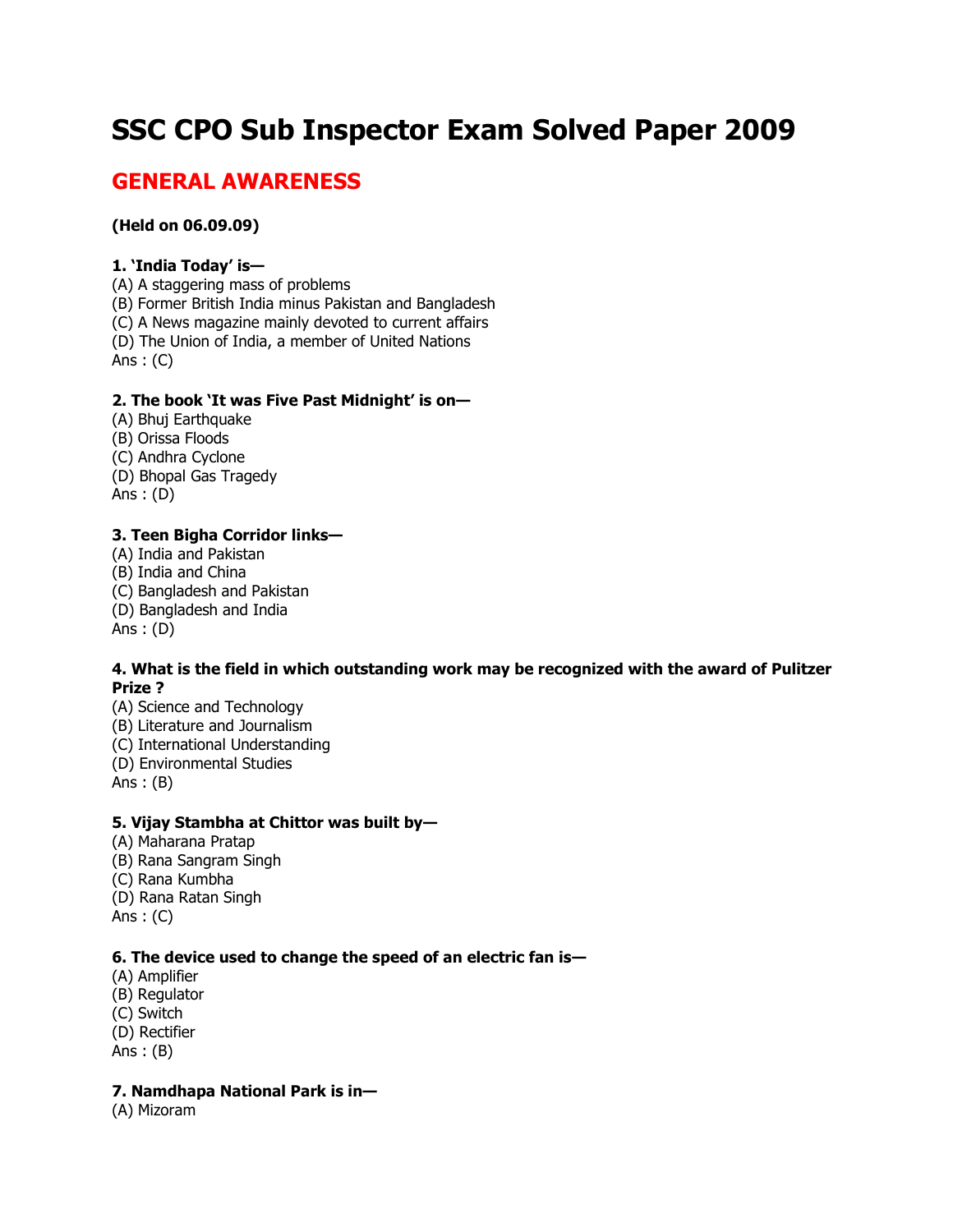# **SSC CPO Sub Inspector Exam Solved Paper 2009**

# **GENERAL AWARENESS**

### **(Held on 06.09.09)**

# **1. 'India Today' is—**

(A) A staggering mass of problems

(B) Former British India minus Pakistan and Bangladesh

(C) A News magazine mainly devoted to current affairs

(D) The Union of India, a member of United Nations Ans:  $(C)$ 

### **2. The book 'It was Five Past Midnight' is on—**

(A) Bhuj Earthquake (B) Orissa Floods (C) Andhra Cyclone (D) Bhopal Gas Tragedy Ans : (D)

# **3. Teen Bigha Corridor links—**

(A) India and Pakistan (B) India and China (C) Bangladesh and Pakistan (D) Bangladesh and India Ans : (D)

#### **4. What is the field in which outstanding work may be recognized with the award of Pulitzer Prize ?**

(A) Science and Technology

(B) Literature and Journalism

(C) International Understanding

(D) Environmental Studies

Ans : (B)

### **5. Vijay Stambha at Chittor was built by—**

(A) Maharana Pratap (B) Rana Sangram Singh (C) Rana Kumbha (D) Rana Ratan Singh Ans : (C)

# **6. The device used to change the speed of an electric fan is—**

(A) Amplifier

(B) Regulator

(C) Switch

(D) Rectifier

Ans : (B)

### **7. Namdhapa National Park is in—**

(A) Mizoram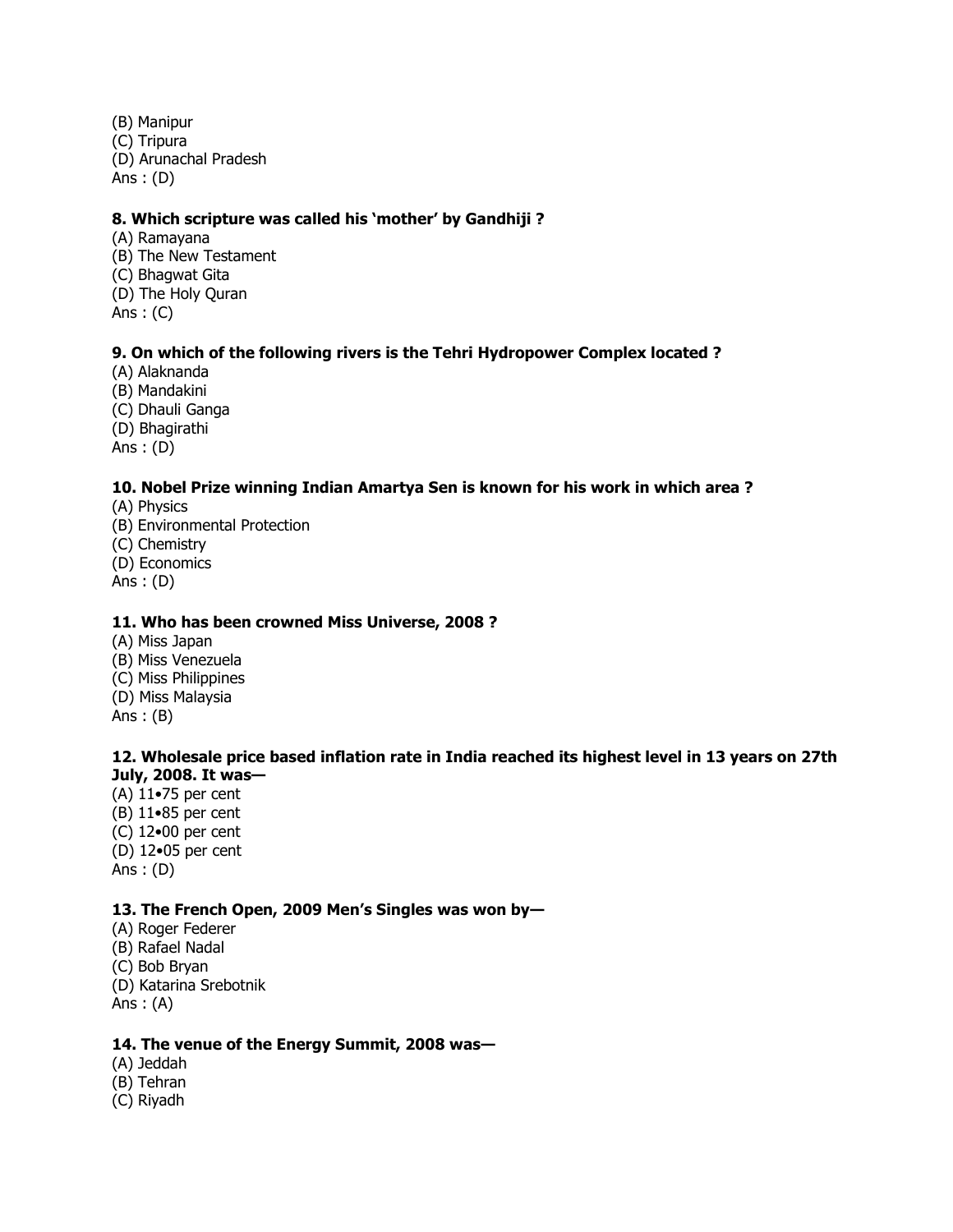(B) Manipur (C) Tripura (D) Arunachal Pradesh Ans : (D)

#### **8. Which scripture was called his 'mother' by Gandhiji ?**

(A) Ramayana (B) The New Testament (C) Bhagwat Gita (D) The Holy Quran Ans : (C)

### **9. On which of the following rivers is the Tehri Hydropower Complex located ?**

(A) Alaknanda (B) Mandakini (C) Dhauli Ganga (D) Bhagirathi Ans : (D)

### **10. Nobel Prize winning Indian Amartya Sen is known for his work in which area ?**

(A) Physics (B) Environmental Protection (C) Chemistry (D) Economics Ans : (D)

#### **11. Who has been crowned Miss Universe, 2008 ?**

(A) Miss Japan (B) Miss Venezuela (C) Miss Philippines (D) Miss Malaysia Ans : (B)

#### **12. Wholesale price based inflation rate in India reached its highest level in 13 years on 27th July, 2008. It was—**

(A) 11•75 per cent (B) 11•85 per cent (C) 12•00 per cent (D) 12•05 per cent Ans : (D)

# **13. The French Open, 2009 Men's Singles was won by—**

(A) Roger Federer (B) Rafael Nadal (C) Bob Bryan (D) Katarina Srebotnik Ans  $: (A)$ 

#### **14. The venue of the Energy Summit, 2008 was—**

- (A) Jeddah
- (B) Tehran
- (C) Riyadh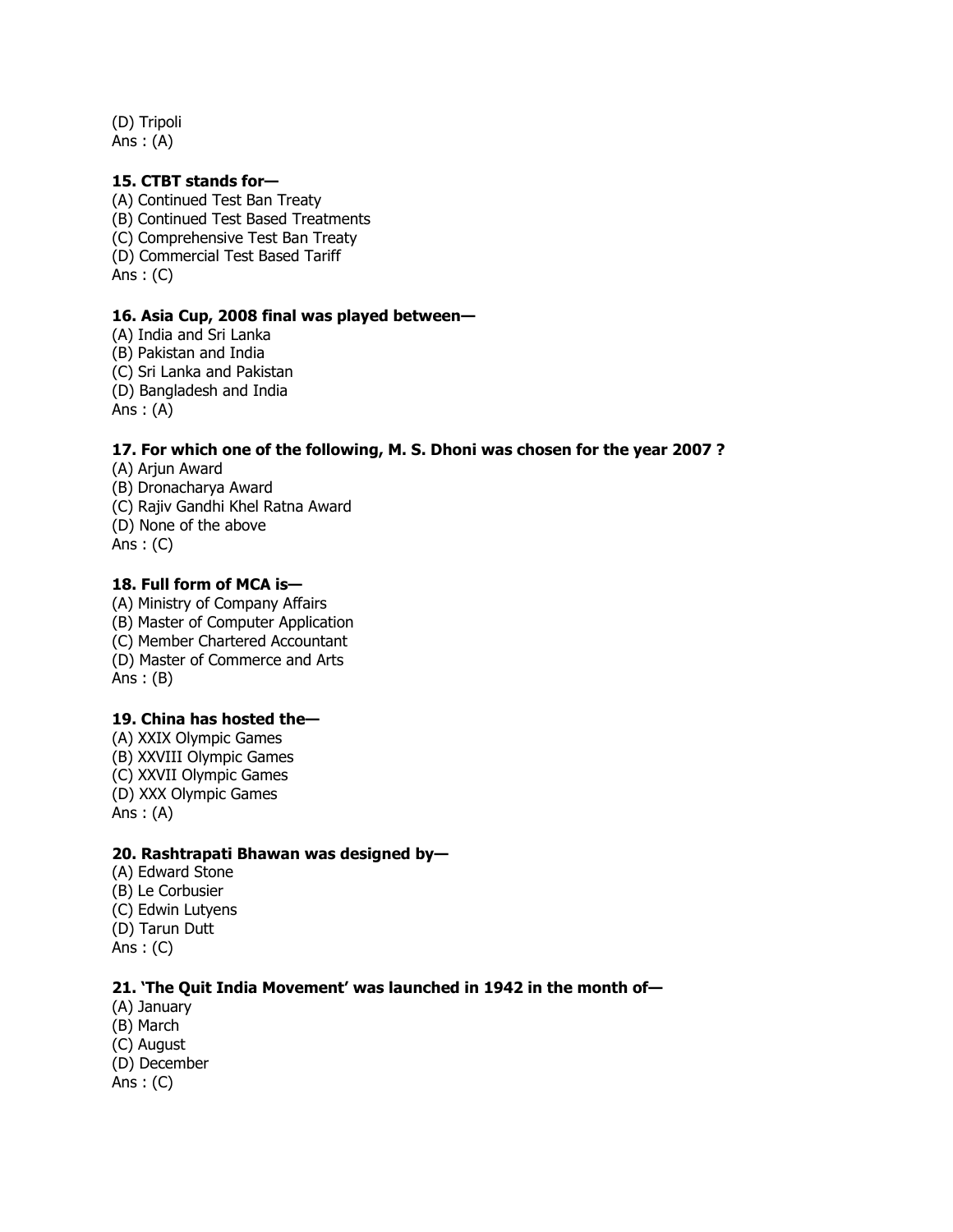(D) Tripoli Ans : (A)

#### **15. CTBT stands for—**

(A) Continued Test Ban Treaty (B) Continued Test Based Treatments (C) Comprehensive Test Ban Treaty (D) Commercial Test Based Tariff Ans : (C)

#### **16. Asia Cup, 2008 final was played between—**

(A) [India](http://sscexampapers.blogspot.com/2010/11/ssc-cpo-sub-inspector-exam-solved-paper.html) and Sri Lanka (B) Pakistan and India (C) Sri Lanka and Pakistan (D) Bangladesh and India Ans  $: (A)$ 

#### **17. For which one of the following, M. S. Dhoni was chosen for the year 2007 ?**

(A) Arjun Award (B) Dronacharya Award (C) Rajiv Gandhi Khel Ratna Award (D) None of the above Ans : (C)

#### **18. Full form of MCA is—**

(A) Ministry of Company Affairs (B) Master of Computer Application (C) Member Chartered Accountant (D) Master of Commerce and Arts Ans : (B)

#### **19. China has hosted the—**

(A) XXIX Olympic Games (B) XXVIII Olympic Games (C) XXVII Olympic Games (D) XXX Olympic Games Ans : (A)

#### **20. Rashtrapati Bhawan was designed by—**

(A) Edward Stone (B) Le Corbusier (C) Edwin Lutyens (D) Tarun Dutt Ans : (C)

#### **21. 'The Quit India Movement' was launched in 1942 in the month of—**

- (A) January (B) March (C) August (D) December
- Ans : (C)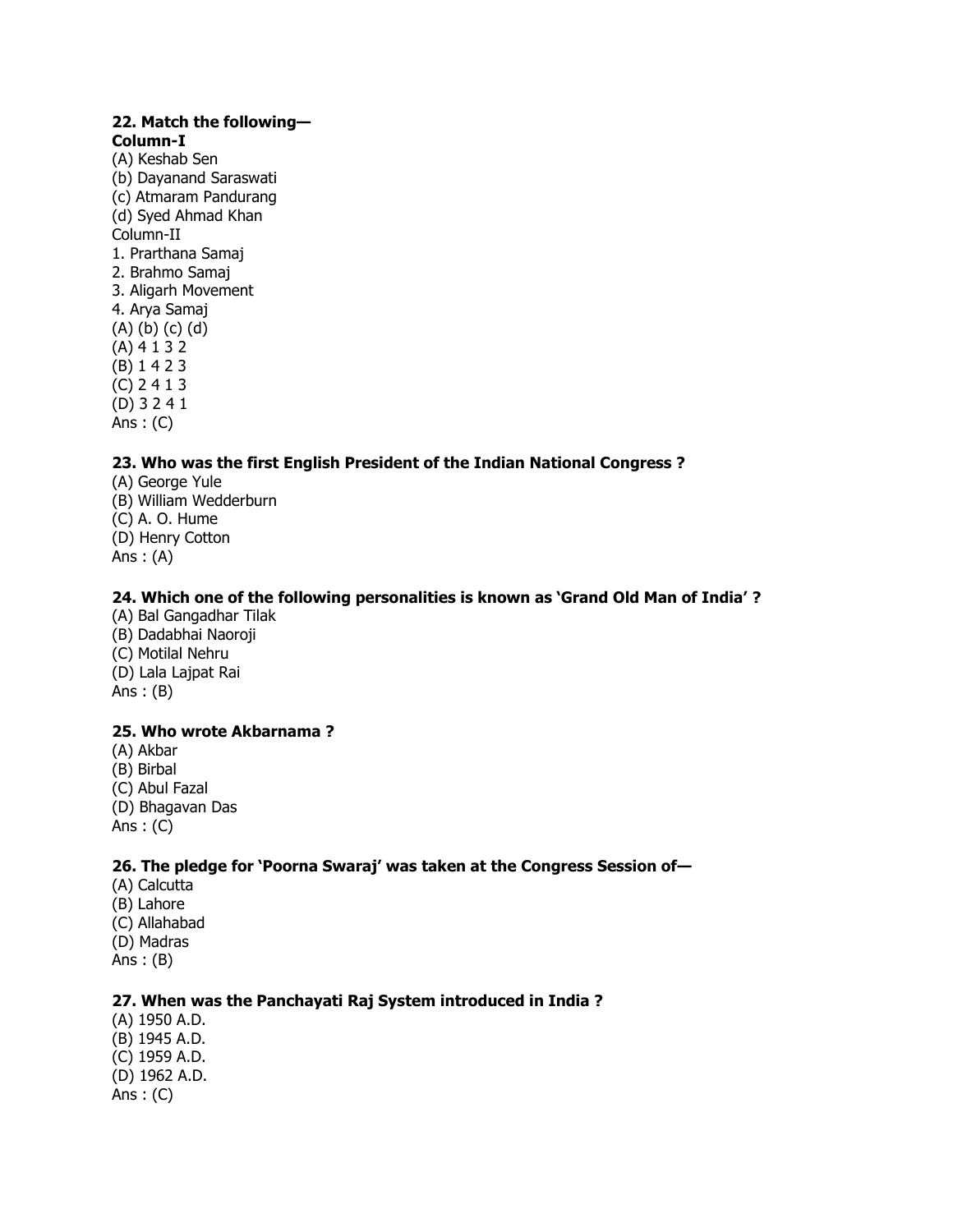#### **22. Match the following— Column-I**

(A) Keshab Sen (b) Dayanand Saraswati (c) Atmaram Pandurang (d) Syed Ahmad Khan Column-II 1. Prarthana Samaj 2. Brahmo Samaj 3. Aligarh Movement 4. Arya Samaj (A) (b) (c) (d) (A) 4 1 3 2 (B) 1 4 2 3 (C) 2 4 1 3 (D) 3 2 4 1 Ans : (C)

# **23. Who was the first English President of the Indian National Congress ?**

(A) George Yule (B) William Wedderburn (C) A. O. Hume (D) Henry Cotton Ans  $: (A)$ 

### **24. Which one of the following personalities is known as 'Grand Old Man of India' ?**

(A) Bal Gangadhar Tilak (B) Dadabhai Naoroji (C) Motilal Nehru (D) Lala Lajpat Rai Ans : (B)

### **25. Who wrote Akbarnama ?**

(A) Akbar (B) Birbal (C) Abul Fazal (D) Bhagavan Das Ans : (C)

### **26. The pledge for 'Poorna Swaraj' was taken at the Congress Session of—**

(A) Calcutta (B) Lahore (C) Allahabad (D) Madras Ans : (B)

### **27. When was the Panchayati Raj System introduced in India ?**

(A) 1950 A.D. (B) 1945 A.D. (C) 1959 A.D. (D) 1962 A.D. Ans  $: (C)$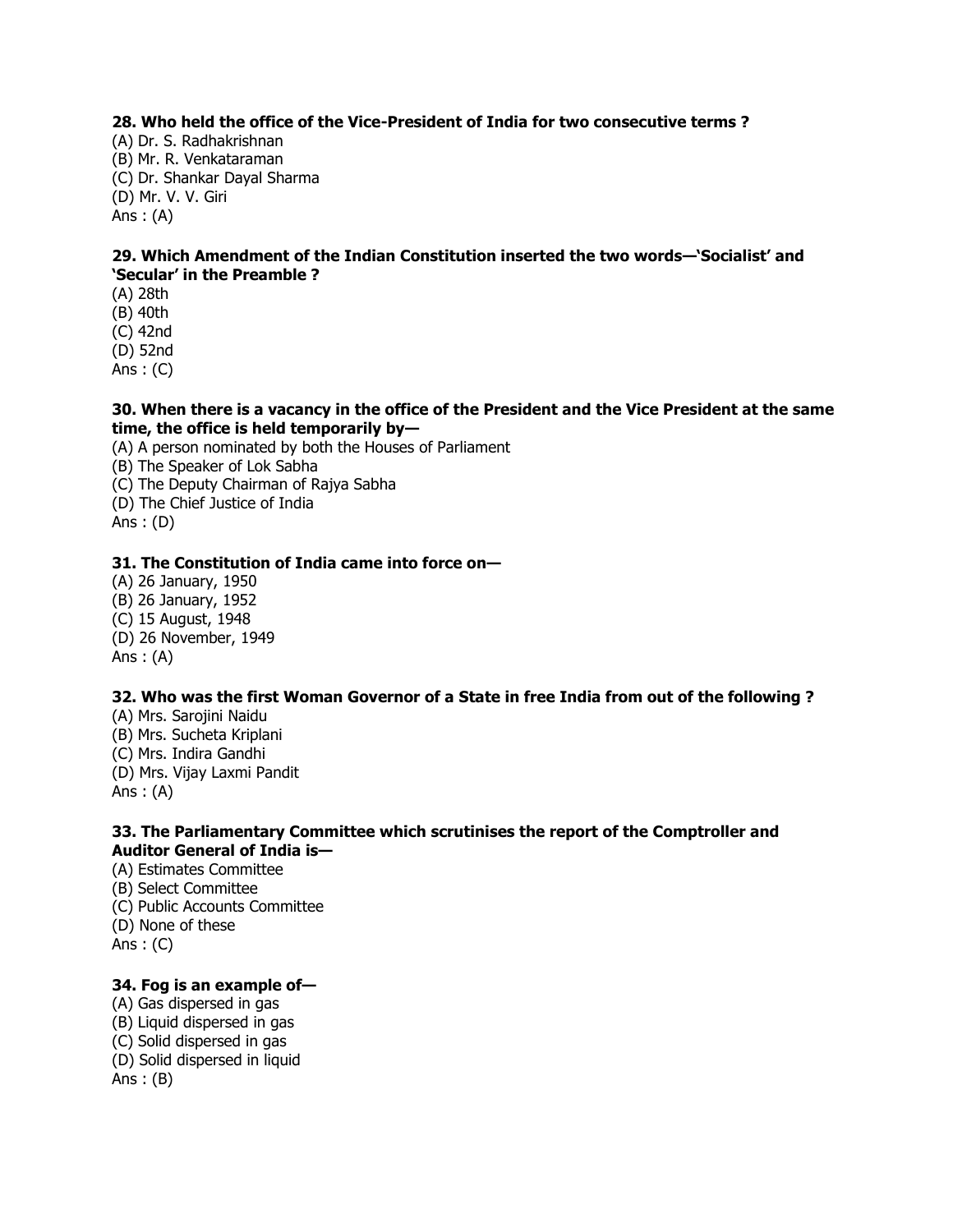#### **28. Who held the office of the Vice-President of India for two consecutive terms ?**

(A) Dr. S. Radhakrishnan (B) Mr. R. Venkataraman (C) Dr. Shankar Dayal Sharma (D) Mr. V. V. Giri Ans  $: (A)$ 

#### **29. Which Amendment of the Indian Constitution inserted the two words—'Socialist' and 'Secular' in the Preamble ?**

(A) 28th

(B) 40th

(C) 42nd

(D) 52nd

Ans : (C)

#### **30. When there is a vacancy in the office of the President and the Vice President at the same time, the office is held temporarily by—**

(A) A person nominated by both the Houses of Parliament

(B) The Speaker of Lok Sabha

(C) The Deputy Chairman of Rajya Sabha

(D) The Chief Justice of India

Ans : (D)

#### **31. The Constitution of India came into force on—**

(A) 26 January, 1950 (B) 26 January, 1952 (C) 15 August, 1948 (D) 26 November, 1949 Ans : (A)

# **32. Who was the first Woman Governor of a State in free India from out of the following ?**

(A) Mrs. Sarojini Naidu

(B) Mrs. Sucheta Kriplani

(C) Mrs. Indira Gandhi

(D) Mrs. Vijay Laxmi Pandit

Ans  $: (A)$ 

### **33. The Parliamentary Committee which scrutinises the report of the Comptroller and Auditor General of India is—**

- (A) Estimates Committee
- (B) Select Committee
- (C) Public Accounts Committee
- (D) None of these

Ans : (C)

### **34. Fog is an example of—**

(A) Gas dispersed in gas (B) Liquid dispersed in gas (C) Solid dispersed in gas (D) Solid dispersed in liquid Ans : (B)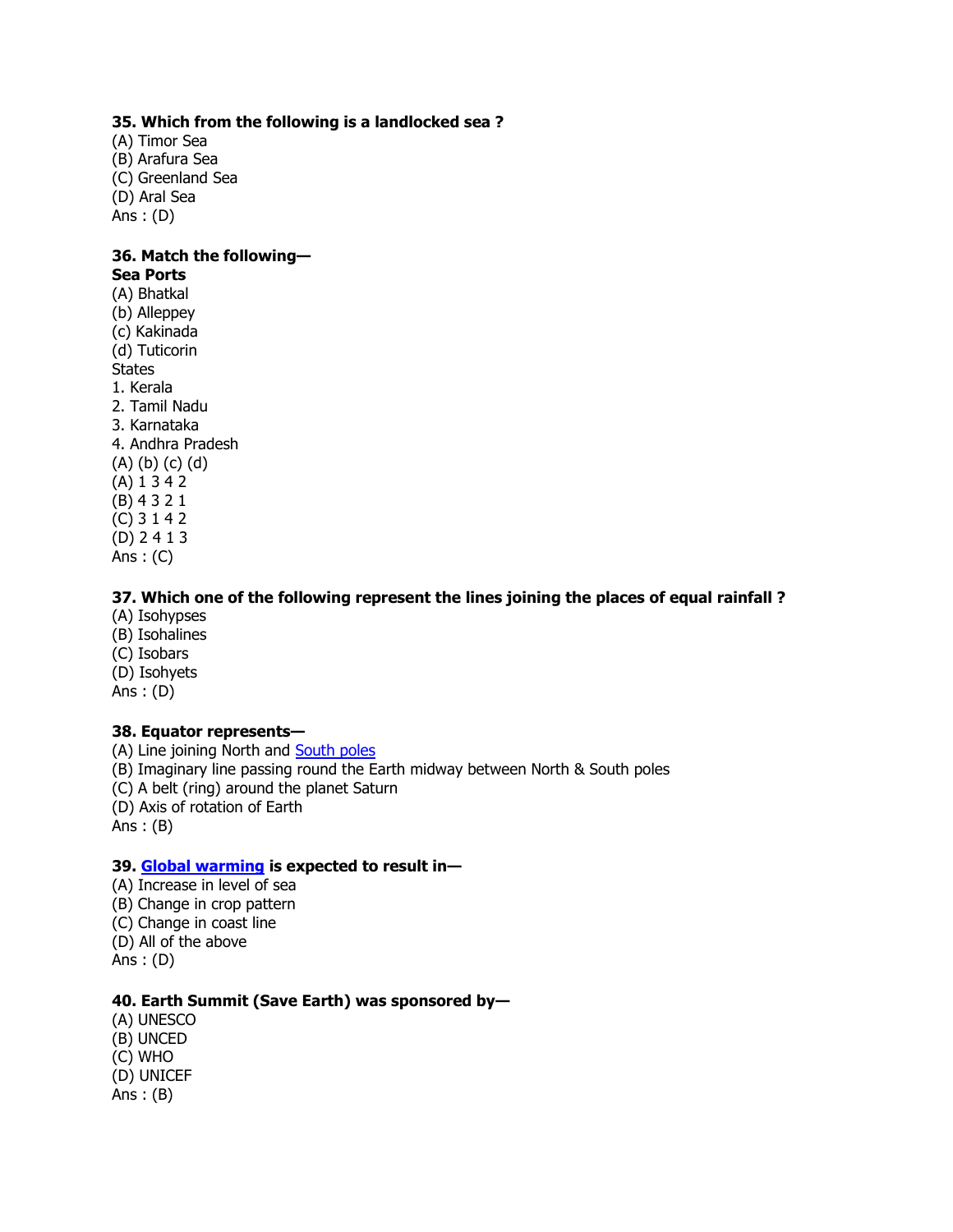#### **35. Which from the following is a landlocked sea ?**

(A) Timor Sea (B) Arafura Sea (C) Greenland Sea (D) Aral Sea Ans : (D)

# **36. Match the following—**

**Sea Ports** (A) Bhatkal (b) Alleppey (c) Kakinada (d) Tuticorin **States** 1. Kerala 2. Tamil Nadu 3. Karnataka 4. Andhra Pradesh (A) (b) (c) (d) (A) 1 3 4 2 (B) 4 3 2 1 (C) 3 1 4 2 (D) 2 4 1 3 Ans : (C)

#### **37. Which one of the following represent the lines joining the places of equal rainfall ?**

(A) Isohypses (B) Isohalines (C) Isobars (D) Isohyets Ans : (D)

#### **38. Equator represents—**

(A) Line joining North and [South poles](http://sscexampapers.blogspot.com/2010/11/ssc-cpo-sub-inspector-exam-solved-paper.html) (B) Imaginary line passing round the Earth midway between North & South poles (C) A belt (ring) around the planet Saturn (D) Axis of rotation of Earth Ans : (B)

#### **39. [Global warming](http://sscexampapers.blogspot.com/2010/11/ssc-cpo-sub-inspector-exam-solved-paper.html) is expected to result in—**

(A) Increase in level of sea (B) Change in crop pattern (C) Change in coast line (D) All of the above Ans : (D)

#### **40. Earth Summit (Save Earth) was sponsored by—**

(A) UNESCO (B) UNCED (C) WHO (D) UNICEF Ans  $:(B)$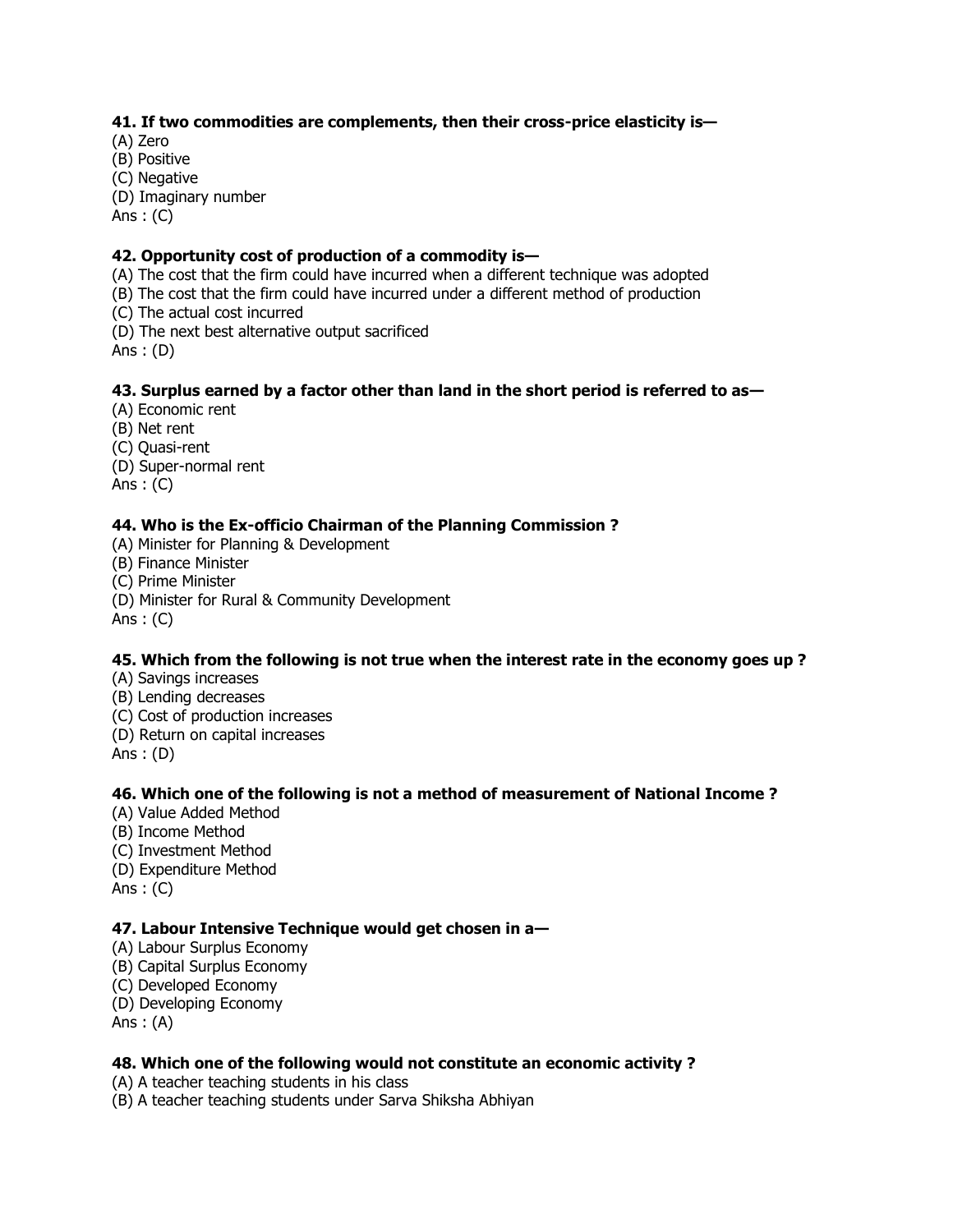# **41. If two commodities are complements, then their cross-price elasticity is—**

(A) Zero

(B) Positive

(C) Negative

(D) Imaginary number

Ans : (C)

# **42. Opportunity cost of production of a commodity is—**

(A) The cost that the firm could have incurred when a different technique was adopted

(B) The cost that the firm could have incurred under a different method of production

- (C) The actual cost incurred
- (D) The next best alternative output sacrificed

Ans : (D)

### **43. Surplus earned by a factor other than land in the short period is referred to as—**

- (A) Economic rent
- (B) Net rent
- (C) Quasi-rent
- (D) Super-normal rent

Ans : (C)

# **44. Who is the Ex-officio Chairman of the Planning Commission ?**

- (A) Minister for Planning & Development
- (B) Finance Minister
- (C) Prime Minister
- (D) Minister for Rural & Community Development

Ans : (C)

### **45. Which from the following is not true when the interest rate in the economy goes up ?**

- (A) Savings increases
- (B) Lending decreases
- (C) Cost of production increases
- (D) Return on capital increases

Ans : (D)

### **46. Which one of the following is not a method of measurement of National Income ?**

- (A) Value Added Method
- (B) Income Method
- (C) Investment Method
- (D) Expenditure Method

Ans : (C)

### **47. Labour Intensive Technique would get chosen in a—**

- (A) Labour Surplus Economy
- (B) Capital Surplus Economy
- (C) Developed Economy
- (D) Developing Economy

Ans  $: (A)$ 

### **48. Which one of the following would not constitute an economic activity ?**

(A) A teacher teaching students in his class

(B) A teacher teaching students under Sarva Shiksha Abhiyan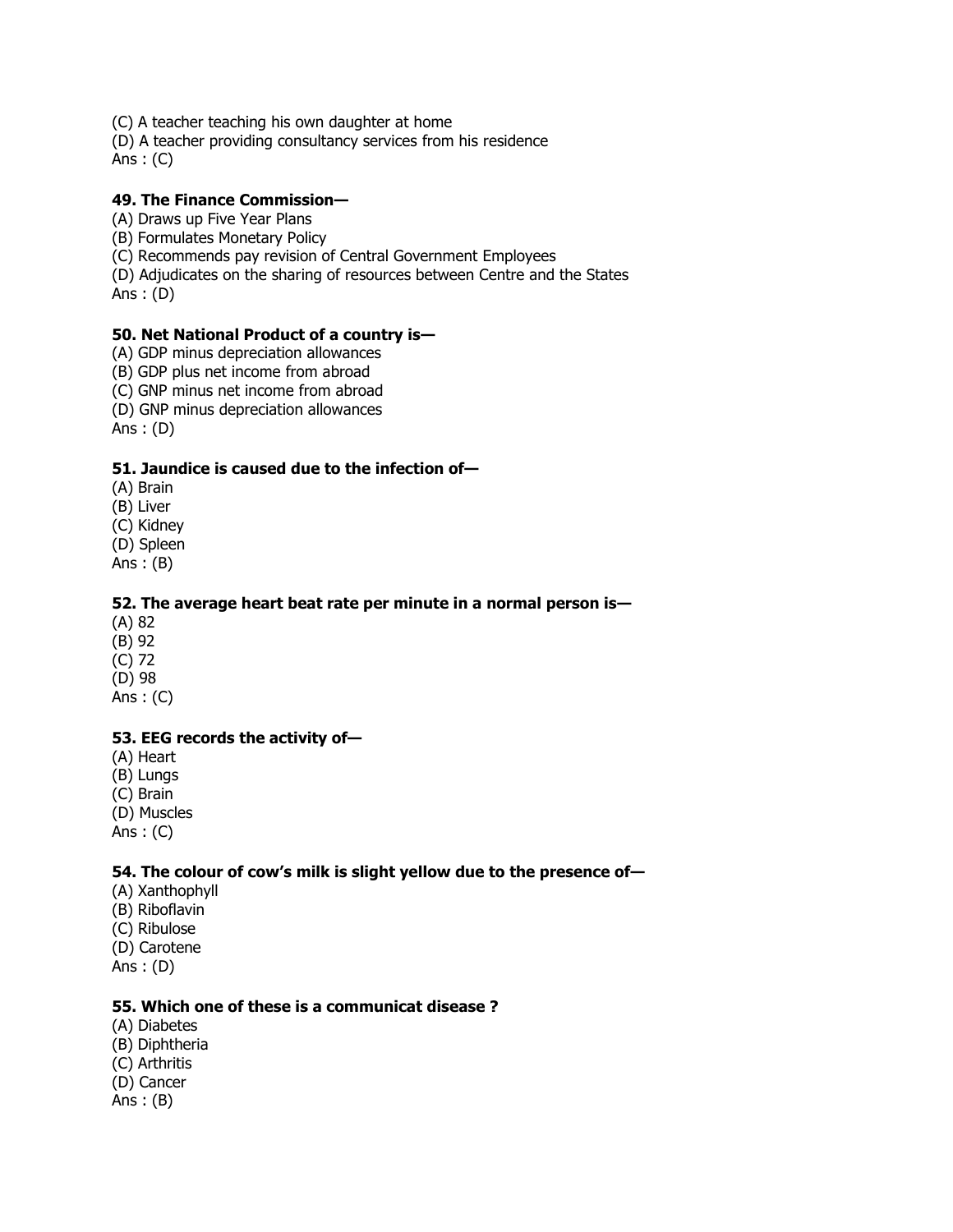(C) A teacher teaching his own daughter at home

(D) A teacher providing consultancy services from his residence Ans : (C)

#### **49. The Finance Commission—**

(A) Draws up Five Year Plans

(B) Formulates Monetary Policy

(C) Recommends pay revision of Central Government Employees

(D) Adjudicates on the sharing of resources between Centre and the States

Ans : (D)

# **50. Net National Product of a country is—**

(A) GDP minus depreciation allowances

(B) GDP plus net income from abroad

(C) GNP minus net income from abroad

(D) GNP minus depreciation allowances

Ans : (D)

#### **51. Jaundice is caused due to the infection of—**

(A) Brain

(B) Liver

(C) Kidney

(D) Spleen

Ans : (B)

#### **52. The average heart beat rate per minute in a normal person is—**

(A) 82

(B) 92

(C) 72

(D) 98

Ans : (C)

#### **53. EEG records the activity of—**

(A) Heart

(B) Lungs

(C) Brain

(D) Muscles

Ans : (C)

#### **54. The colour of cow's milk is slight yellow due to the presence of—**

- (A) Xanthophyll
- (B) Riboflavin
- (C) Ribulose
- (D) Carotene

Ans : (D)

#### **55. Which one of these is a communicat disease ?**

- (A) Diabetes
- (B) Diphtheria
- (C) Arthritis
- (D) Cancer
- Ans : (B)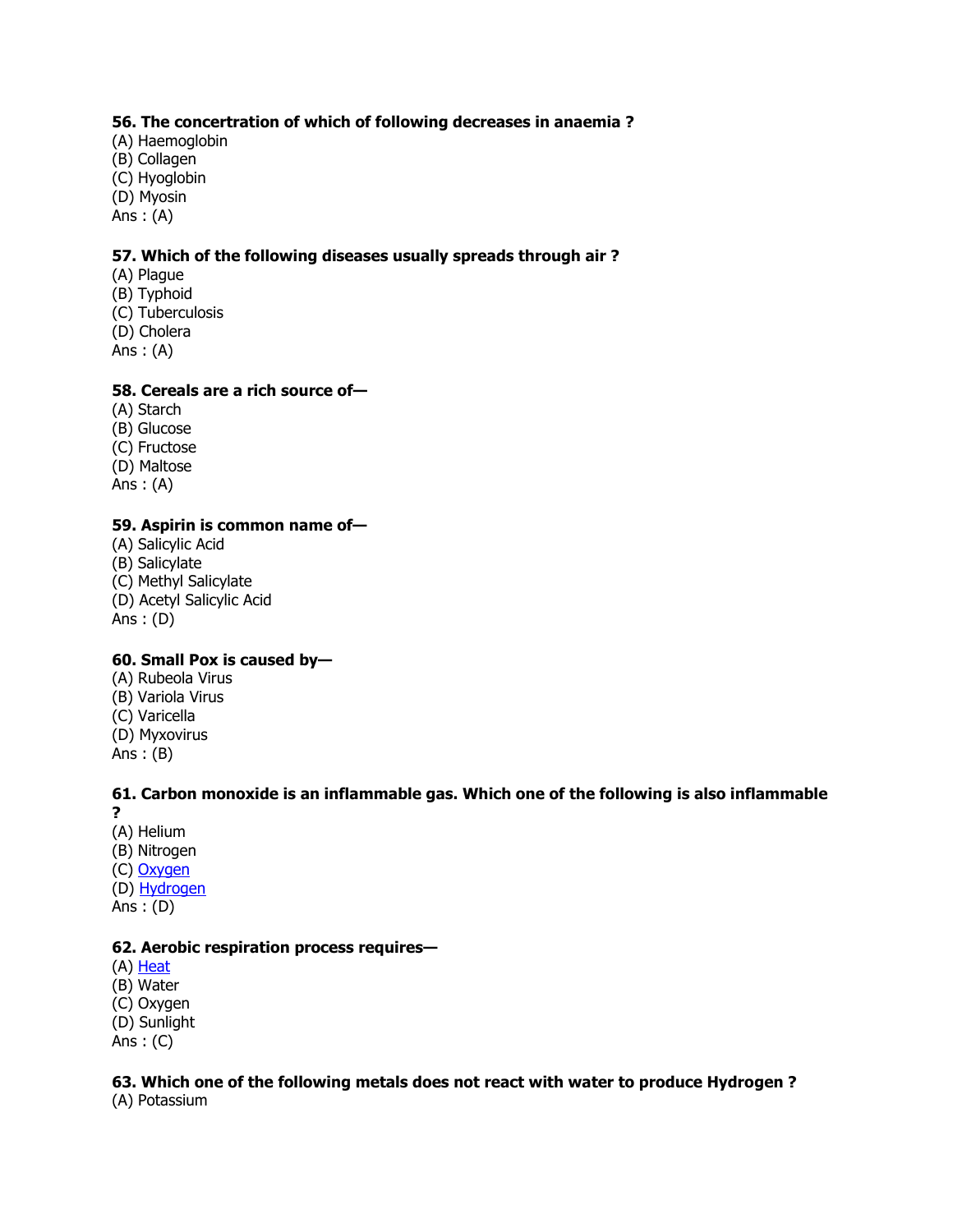#### **56. The concertration of which of following decreases in anaemia ?**

- (A) Haemoglobin
- (B) Collagen
- (C) Hyoglobin
- (D) Myosin
- Ans  $: (A)$

# **57. Which of the following diseases usually spreads through air ?**

(A) Plague (B) Typhoid (C) Tuberculosis (D) Cholera Ans  $: (A)$ 

## **58. Cereals are a rich source of—**

(A) Starch (B) Glucose (C) Fructose (D) Maltose Ans : (A)

# **59. Aspirin is common name of—**

(A) Salicylic Acid (B) Salicylate (C) Methyl Salicylate (D) Acetyl Salicylic Acid Ans : (D)

# **60. Small Pox is caused by—**

(A) Rubeola Virus (B) Variola Virus (C) Varicella (D) Myxovirus Ans : (B)

#### **61. Carbon monoxide is an inflammable gas. Which one of the following is also inflammable ?**

- (A) Helium (B) Nitrogen (C) [Oxygen](http://sscexampapers.blogspot.com/2010/11/ssc-cpo-sub-inspector-exam-solved-paper.html) (D) [Hydrogen](http://sscexampapers.blogspot.com/2010/11/ssc-cpo-sub-inspector-exam-solved-paper.html)
- Ans : (D)

# **62. Aerobic respiration process requires—**

 $(A)$  [Heat](http://sscexampapers.blogspot.com/2010/11/ssc-cpo-sub-inspector-exam-solved-paper.html)

- (B) Water
- (C) Oxygen
- (D) Sunlight

Ans : (C)

# **63. Which one of the following metals does not react with water to produce Hydrogen ?**

(A) Potassium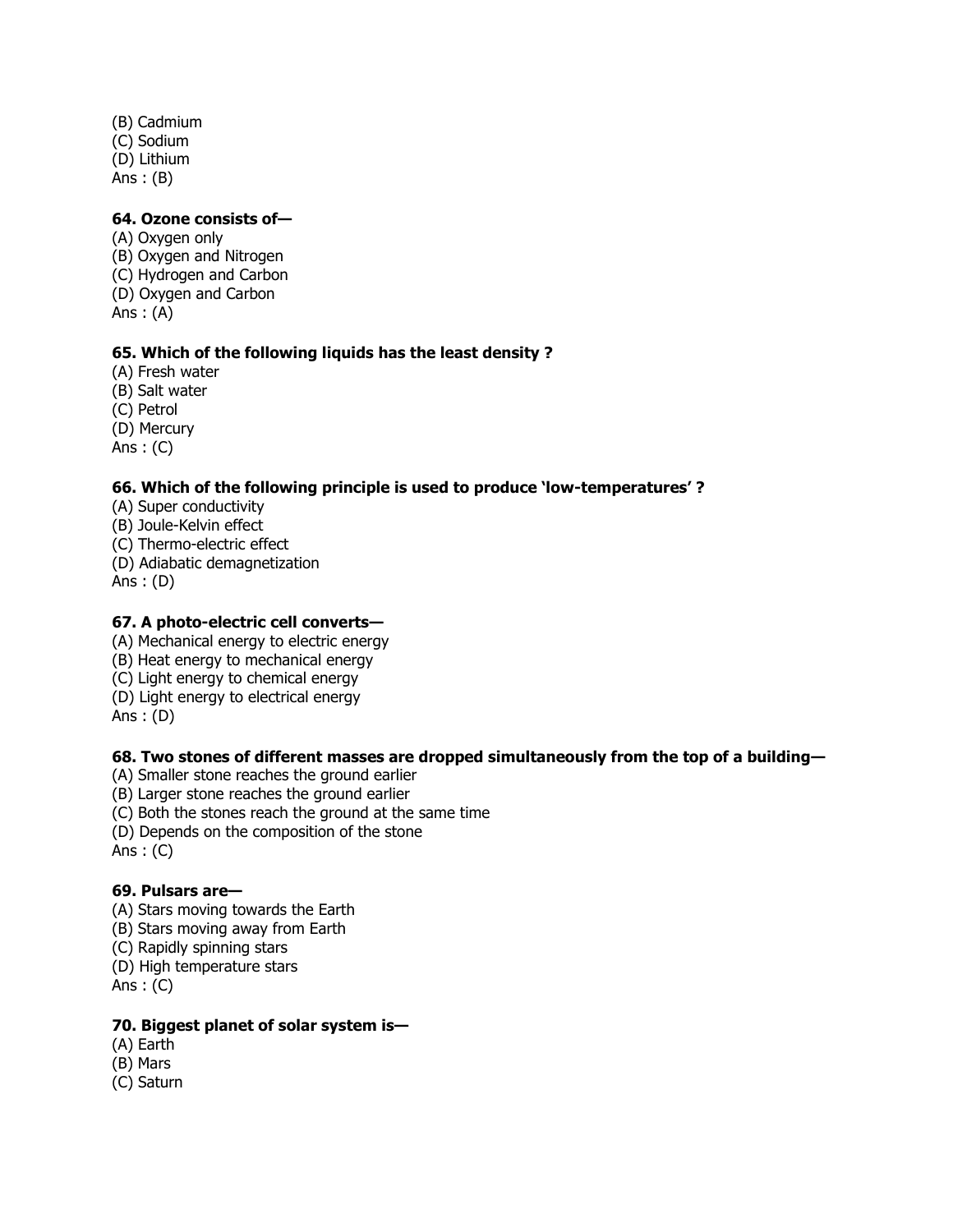(B) Cadmium (C) Sodium (D) Lithium Ans : (B)

# **64. Ozone consists of—**

(A) Oxygen only (B) Oxygen and Nitrogen (C) Hydrogen and Carbon (D) Oxygen and Carbon Ans  $: (A)$ 

# **65. Which of the following liquids has the least density ?**

(A) Fresh water (B) Salt water (C) Petrol (D) Mercury Ans : (C)

# **66. Which of the following principle is used to produce 'low-temperatures' ?**

- (A) Super conductivity
- (B) Joule-Kelvin effect
- (C) Thermo-electric effect
- (D) Adiabatic demagnetization
- Ans : (D)

### **67. A photo-electric cell converts—**

- (A) Mechanical [energy](http://sscexampapers.blogspot.com/2010/11/ssc-cpo-sub-inspector-exam-solved-paper.html) to electric energy
- (B) Heat energy to mechanical energy
- (C) Light energy to chemical energy
- (D) Light energy to electrical energy
- Ans : (D)

### **68. Two stones of different masses are dropped simultaneously from the top of a building—**

- (A) Smaller stone reaches the ground earlier
- (B) Larger stone reaches the ground earlier
- (C) Both the stones reach the ground at the same time
- (D) Depends on the composition of the stone

Ans : (C)

### **69. Pulsars are—**

- (A) Stars moving towards the Earth
- (B) Stars moving away from Earth
- (C) Rapidly spinning stars
- (D) High temperature stars

Ans : (C)

# **70. Biggest planet of solar system is—**

- (A) Earth
- (B) Mars
- (C) Saturn